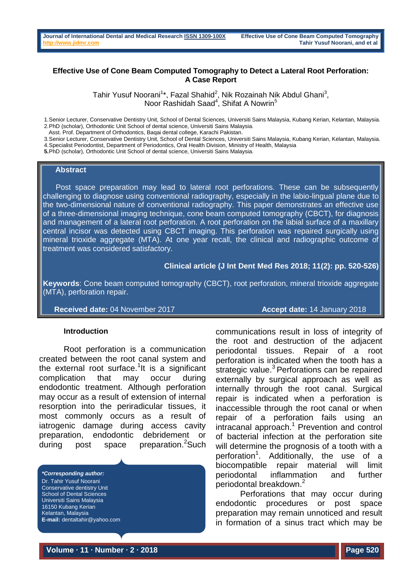### **Effective Use of Cone Beam Computed Tomography to Detect a Lateral Root Perforation: A Case Report**

Tahir Yusuf Noorani<sup>1\*</sup>, Fazal Shahid<sup>2</sup>, Nik Rozainah Nik Abdul Ghani<sup>3</sup>, Noor Rashidah Saad<sup>4</sup>, Shifat A Nowrin<sup>5</sup>

1.Senior Lecturer, Conservative Dentistry Unit, School of Dental Sciences, Universiti Sains Malaysia, Kubang Kerian, Kelantan, Malaysia. 2.PhD (scholar), Orthodontic Unit School of dental science, Universiti Sains Malaysia.

Asst. Prof. Department of Orthodontics, Baqai dental college, Karachi Pakistan.

3.Senior Lecturer, Conservative Dentistry Unit, School of Dental Sciences, Universiti Sains Malaysia, Kubang Kerian, Kelantan, Malaysia. 4.Specialist Periodontist, Department of Periodontics, Oral Health Division, Ministry of Health, Malaysia

**5.**PhD (scholar), Orthodontic Unit School of dental science, Universiti Sains Malaysia.

#### **Abstract**

Post space preparation may lead to lateral root perforations. These can be subsequently challenging to diagnose using conventional radiography, especially in the labio-lingual plane due to the two-dimensional nature of conventional radiography. This paper demonstrates an effective use of a three-dimensional imaging technique, cone beam computed tomography (CBCT), for diagnosis and management of a lateral root perforation. A root perforation on the labial surface of a maxillary central incisor was detected using CBCT imaging. This perforation was repaired surgically using mineral trioxide aggregate (MTA). At one year recall, the clinical and radiographic outcome of treatment was considered satisfactory.

**Clinical article (J Int Dent Med Res 2018; 11(2): pp. 520-526)** 

**Keywords**: Cone beam computed tomography (CBCT), root perforation, mineral trioxide aggregate (MTA), perforation repair.

**Received date:** 04 November 2017 **Accept date:** 14 January 2018

#### **Introduction**

Root perforation is a communication created between the root canal system and the external root surface.<sup>1</sup>It is a significant complication that may occur during endodontic treatment. Although perforation may occur as a result of extension of internal resorption into the periradicular tissues, it most commonly occurs as a result of iatrogenic damage during access cavity preparation, endodontic debridement or during post space preparation.<sup>2</sup>Such

*\*Corresponding author:* Dr. Tahir Yusuf Noorani Conservative dentistry Unit School of Dental Sciences Universiti Sains Malaysia 16150 Kubang Kerian Kelantan, Malaysia **E-mail:** dentaltahir@yahoo.com communications result in loss of integrity of the root and destruction of the adjacent periodontal tissues. Repair of a root perforation is indicated when the tooth has a strategic value.<sup>3</sup> Perforations can be repaired externally by surgical approach as well as internally through the root canal. Surgical repair is indicated when a perforation is inaccessible through the root canal or when repair of a perforation fails using an intracanal approach.<sup>1</sup> Prevention and control of bacterial infection at the perforation site will determine the prognosis of a tooth with a perforation<sup>1</sup>. Additionally, the use of a biocompatible repair material will limit periodontal inflammation and further periodontal breakdown.<sup>2</sup>

Perforations that may occur during endodontic procedures or post space preparation may remain unnoticed and result in formation of a sinus tract which may be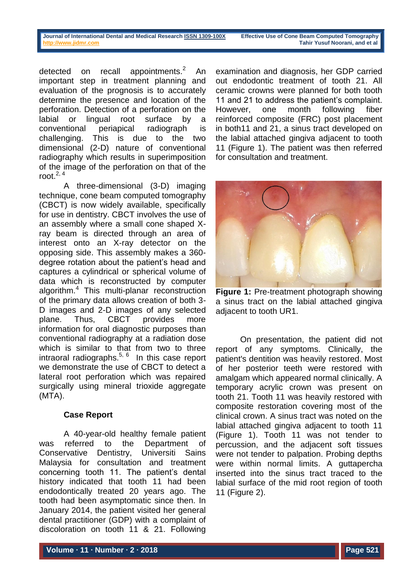detected on recall appointments.<sup>2</sup> An important step in treatment planning and evaluation of the prognosis is to accurately determine the presence and location of the perforation. Detection of a perforation on the labial or lingual root surface by a conventional periapical radiograph is challenging. This is due to the two dimensional (2-D) nature of conventional radiography which results in superimposition of the image of the perforation on that of the root. $2, 4$ 

A three-dimensional (3-D) imaging technique, cone beam computed tomography (CBCT) is now widely available, specifically for use in dentistry. CBCT involves the use of an assembly where a small cone shaped Xray beam is directed through an area of interest onto an X-ray detector on the opposing side. This assembly makes a 360 degree rotation about the patient's head and captures a cylindrical or spherical volume of data which is reconstructed by computer algorithm.<sup>4</sup> This multi-planar reconstruction of the primary data allows creation of both 3- D images and 2-D images of any selected plane. Thus, CBCT provides more information for oral diagnostic purposes than conventional radiography at a radiation dose which is similar to that from two to three intraoral radiographs.<sup>5, 6</sup> In this case report we demonstrate the use of CBCT to detect a lateral root perforation which was repaired surgically using mineral trioxide aggregate (MTA).

# **Case Report**

A 40-year-old healthy female patient was referred to the Department of Conservative Dentistry, Universiti Sains Malaysia for consultation and treatment concerning tooth 11. The patient's dental history indicated that tooth 11 had been endodontically treated 20 years ago. The tooth had been asymptomatic since then. In January 2014, the patient visited her general dental practitioner (GDP) with a complaint of discoloration on tooth 11 & 21. Following

examination and diagnosis, her GDP carried out endodontic treatment of tooth 21. All ceramic crowns were planned for both tooth 11 and 21 to address the patient's complaint. However, one month following fiber reinforced composite (FRC) post placement in both11 and 21, a sinus tract developed on the labial attached gingiva adjacent to tooth 11 (Figure 1). The patient was then referred for consultation and treatment.



**Figure 1:** Pre-treatment photograph showing a sinus tract on the labial attached gingiva adjacent to tooth UR1.

On presentation, the patient did not report of any symptoms. Clinically, the patient's dentition was heavily restored. Most of her posterior teeth were restored with amalgam which appeared normal clinically. A temporary acrylic crown was present on tooth 21. Tooth 11 was heavily restored with composite restoration covering most of the clinical crown. A sinus tract was noted on the labial attached gingiva adjacent to tooth 11 (Figure 1). Tooth 11 was not tender to percussion, and the adjacent soft tissues were not tender to palpation. Probing depths were within normal limits. A guttapercha inserted into the sinus tract traced to the labial surface of the mid root region of tooth 11 (Figure 2).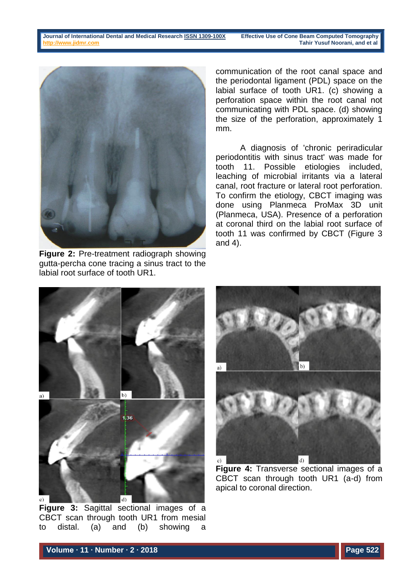**Journal of International Dental and Medical Researc[h ISSN 1309-100X](http://www.ektodermaldisplazi.com/dergi.htm) Effective Use of Cone Beam Computed Tomography [http://www.jidmr.com](http://www.jidmr.com/) Tahir Yusuf Noorani, and et al**



**Figure 2:** Pre-treatment radiograph showing gutta-percha cone tracing a sinus tract to the labial root surface of tooth UR1.

communication of the root canal space and the periodontal ligament (PDL) space on the labial surface of tooth UR1. (c) showing a perforation space within the root canal not communicating with PDL space. (d) showing the size of the perforation, approximately 1 mm.

A diagnosis of 'chronic periradicular periodontitis with sinus tract' was made for tooth 11. Possible etiologies included. leaching of microbial irritants via a lateral canal, root fracture or lateral root perforation. To confirm the etiology, CBCT imaging was done using Planmeca ProMax 3D unit (Planmeca, USA). Presence of a perforation at coronal third on the labial root surface of tooth 11 was confirmed by CBCT (Figure 3 and 4).



**Figure 3:** Sagittal sectional images of a CBCT scan through tooth UR1 from mesial to distal. (a) and (b) showing a



**Figure 4:** Transverse sectional images of a CBCT scan through tooth UR1 (a-d) from apical to coronal direction.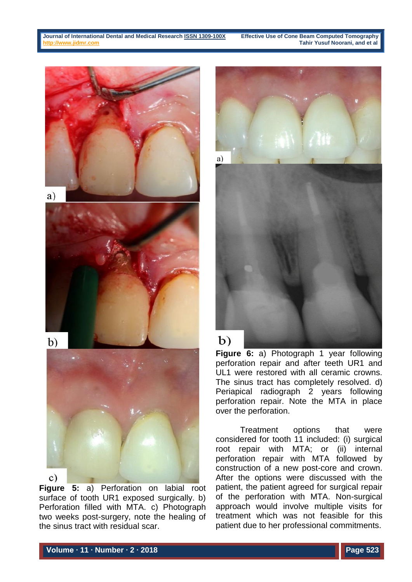

**Figure 5:** a) Perforation on labial root surface of tooth UR1 exposed surgically. b) Perforation filled with MTA. c) Photograph two weeks post-surgery, note the healing of the sinus tract with residual scar.



**Figure 6:** a) Photograph 1 year following perforation repair and after teeth UR1 and UL1 were restored with all ceramic crowns. The sinus tract has completely resolved. d) Periapical radiograph 2 years following perforation repair. Note the MTA in place over the perforation.

Treatment options that were considered for tooth 11 included: (i) surgical root repair with MTA; or (ii) internal perforation repair with MTA followed by construction of a new post-core and crown. After the options were discussed with the patient, the patient agreed for surgical repair of the perforation with MTA. Non-surgical approach would involve multiple visits for treatment which was not feasible for this patient due to her professional commitments.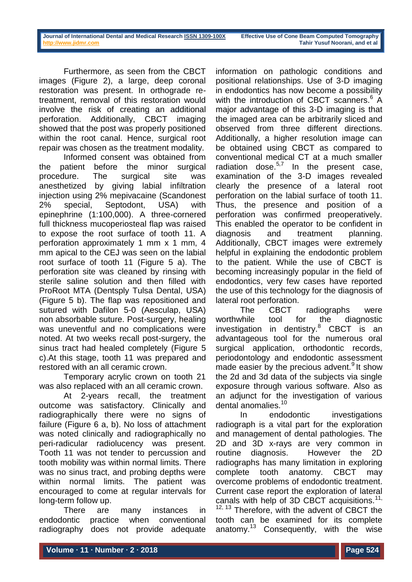Furthermore, as seen from the CBCT images (Figure 2), a large, deep coronal restoration was present. In orthograde retreatment, removal of this restoration would involve the risk of creating an additional perforation. Additionally, CBCT imaging showed that the post was properly positioned within the root canal. Hence, surgical root repair was chosen as the treatment modality.

Informed consent was obtained from the patient before the minor surgical procedure. The surgical site was anesthetized by giving labial infiltration injection using 2% mepivacaine (Scandonest 2% special, Septodont, USA) with epinephrine (1:100,000). A three-cornered full thickness mucoperiosteal flap was raised to expose the root surface of tooth 11. A perforation approximately 1 mm x 1 mm, 4 mm apical to the CEJ was seen on the labial root surface of tooth 11 (Figure 5 a). The perforation site was cleaned by rinsing with sterile saline solution and then filled with ProRoot MTA (Dentsply Tulsa Dental, USA) (Figure 5 b). The flap was repositioned and sutured with Dafilon 5-0 (Aesculap, USA) non absorbable suture. Post-surgery, healing was uneventful and no complications were noted. At two weeks recall post-surgery, the sinus tract had healed completely (Figure 5 c).At this stage, tooth 11 was prepared and restored with an all ceramic crown.

Temporary acrylic crown on tooth 21 was also replaced with an all ceramic crown.

At 2-years recall, the treatment outcome was satisfactory. Clinically and radiographically there were no signs of failure (Figure 6 a, b). No loss of attachment was noted clinically and radiographically no peri-radicular radiolucency was present. Tooth 11 was not tender to percussion and tooth mobility was within normal limits. There was no sinus tract, and probing depths were within normal limits. The patient was encouraged to come at regular intervals for long-term follow up.

There are many instances in endodontic practice when conventional radiography does not provide adequate

information on pathologic conditions and positional relationships. Use of 3-D imaging in endodontics has now become a possibility with the introduction of CBCT scanners.<sup>6</sup> A major advantage of this 3-D imaging is that the imaged area can be arbitrarily sliced and observed from three different directions. Additionally, a higher resolution image can be obtained using CBCT as compared to conventional medical CT at a much smaller radiation dose. $5.7$  In the present case, examination of the 3-D images revealed clearly the presence of a lateral root perforation on the labial surface of tooth 11. Thus, the presence and position of a perforation was confirmed preoperatively. This enabled the operator to be confident in diagnosis and treatment planning. Additionally, CBCT images were extremely helpful in explaining the endodontic problem to the patient. While the use of CBCT is becoming increasingly popular in the field of endodontics, very few cases have reported the use of this technology for the diagnosis of lateral root perforation.

The CBCT radiographs were worthwhile tool for the diagnostic investigation in dentistry.<sup>8</sup> CBCT is an advantageous tool for the numerous oral surgical application, orthodontic records, periodontology and endodontic assessment made easier by the precious advent.<sup>9</sup> It show the 2d and 3d data of the subjects via single exposure through various software. Also as an adjunct for the investigation of various dental anomalies.<sup>10</sup>

In endodontic investigations radiograph is a vital part for the exploration and management of dental pathologies. The 2D and 3D x-rays are very common in routine diagnosis. However the 2D radiographs has many limitation in exploring complete tooth anatomy. CBCT may overcome problems of endodontic treatment. Current case report the exploration of lateral canals with help of 3D CBCT acquisitions.<sup>11,</sup>  $12, 13$  Therefore, with the advent of CBCT the tooth can be examined for its complete anatomy.<sup>13</sup> Consequently, with the wise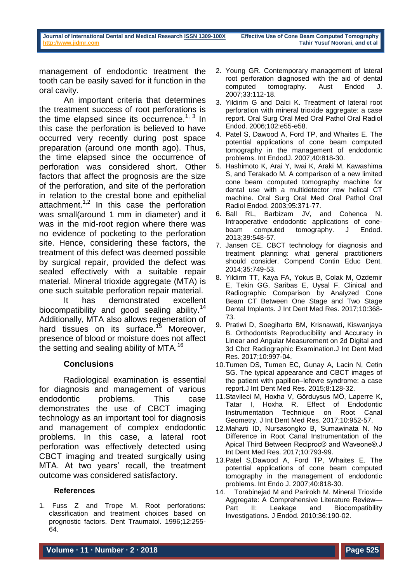management of endodontic treatment the tooth can be easily saved for it function in the oral cavity.

An important criteria that determines the treatment success of root perforations is the time elapsed since its occurrence.<sup>1, 3</sup> In this case the perforation is believed to have occurred very recently during post space preparation (around one month ago). Thus, the time elapsed since the occurrence of perforation was considered short. Other factors that affect the prognosis are the size of the perforation, and site of the perforation in relation to the crestal bone and epithelial attachment.<sup>1,2</sup> In this case the perforation was small(around 1 mm in diameter) and it was in the mid-root region where there was no evidence of pocketing to the perforation site. Hence, considering these factors, the treatment of this defect was deemed possible by surgical repair, provided the defect was sealed effectively with a suitable repair material. Mineral trioxide aggregate (MTA) is one such suitable perforation repair material.

It has demonstrated excellent biocompatibility and good sealing ability.<sup>14</sup> Additionally, MTA also allows regeneration of hard tissues on its surface.<sup>15</sup> Moreover, presence of blood or moisture does not affect the setting and sealing ability of MTA.<sup>16</sup>

# **Conclusions**

Radiological examination is essential for diagnosis and management of various endodontic problems. This case demonstrates the use of CBCT imaging technology as an important tool for diagnosis and management of complex endodontic problems. In this case, a lateral root perforation was effectively detected using CBCT imaging and treated surgically using MTA. At two years' recall, the treatment outcome was considered satisfactory.

### **References**

1. Fuss Z and Trope M. Root perforations: classification and treatment choices based on prognostic factors. Dent Traumatol. 1996;12:255- 64.

- 2. Young GR. Contemporary management of lateral root perforation diagnosed with the aid of dental computed tomography. Aust Endod J. 2007;33:112-18.
- 3. Yildirim G and Dalci K. Treatment of lateral root perforation with mineral trioxide aggregate: a case report. Oral Surg Oral Med Oral Pathol Oral Radiol Endod. 2006;102:e55-e58.
- 4. Patel S, Dawood A, Ford TP, and Whaites E. The potential applications of cone beam computed tomography in the management of endodontic problems. Int EndodJ. 2007;40:818-30.
- 5. Hashimoto K, Arai Y, Iwai K, Araki M, Kawashima S, and Terakado M. A comparison of a new limited cone beam computed tomography machine for dental use with a multidetector row helical CT machine. Oral Surg Oral Med Oral Pathol Oral Radiol Endod. 2003;95:371-77.
- 6. Ball RL, Barbizam JV, and Cohenca N. Intraoperative endodontic applications of conebeam computed tomography. J Endod. 2013;39:548-57.
- 7. Jansen CE. CBCT technology for diagnosis and treatment planning: what general practitioners should consider. Compend Contin Educ Dent. 2014;35:749-53.
- 8. Yildirm TT, Kaya FA, Yokus B, Colak M, Ozdemir E, Tekin GG, Saribas E, Uysal F. Clinical and Radiographic Comparison by Analyzed Cone Beam CT Between One Stage and Two Stage Dental Implants. J Int Dent Med Res. 2017;10:368- 73.
- 9. Pratiwi D, Soegiharto BM, Krisnawati, Kiswanjaya B. Orthodontists Reproducibility and Accuracy in Linear and Angular Measurement on 2d Digital and 3d Cbct Radiographic Examination.J Int Dent Med Res. 2017;10:997-04.
- 10.Tumen DS, Tumen EC, Gunay A, Lacin N, Cetin SG. The typical appearance and CBCT images of the patient with papillon–lefevre syndrome: a case report.J Int Dent Med Res. 2015;8:128-32.
- 11.Stavileci M, Hoxha V, Görduysus MÖ, Laperre K, Tatar I, Hoxha R. Effect of Endodontic Instrumentation Technique on Root Canal Geometry. J Int Dent Med Res. 2017;10:952-57.
- 12.Maharti ID, Nursasongko B, Sumawinata N. No Difference in Root Canal Instrumentation of the Apical Third Between Reciproc® and Waveone®.J Int Dent Med Res. 2017;10:793-99.
- 13.Patel S,Dawood A, Ford TP, Whaites E. The potential applications of cone beam computed tomography in the management of endodontic problems. Int Endo J. 2007;40:818-30.
- 14. Torabinejad M and Parirokh M. Mineral Trioxide Aggregate: A Comprehensive Literature Review— Part II: Leakage and Biocompatibility Investigations. J Endod. 2010;36:190-02.